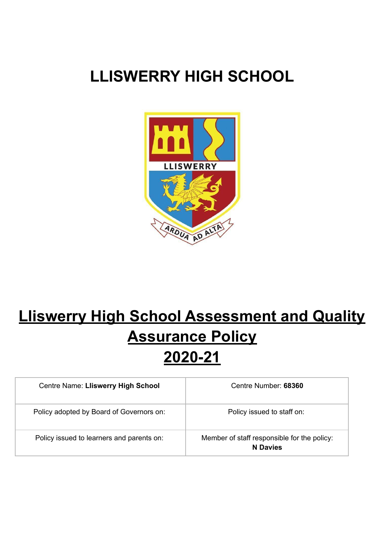## **LLISWERRY HIGH SCHOOL**



# **Lliswerry High School Assessment and Quality Assurance Policy 2020-21**

| Centre Name: Lliswerry High School        | Centre Number: 68360                                           |
|-------------------------------------------|----------------------------------------------------------------|
| Policy adopted by Board of Governors on:  | Policy issued to staff on:                                     |
| Policy issued to learners and parents on: | Member of staff responsible for the policy:<br><b>N</b> Davies |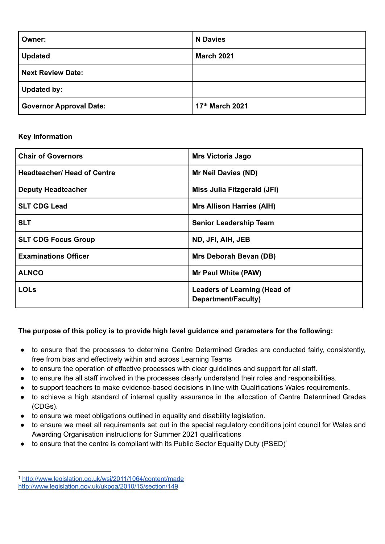| Owner:                         | <b>N</b> Davies   |
|--------------------------------|-------------------|
| <b>Updated</b>                 | <b>March 2021</b> |
| <b>Next Review Date:</b>       |                   |
| <b>Updated by:</b>             |                   |
| <b>Governor Approval Date:</b> | 17th March 2021   |

### **Key Information**

| <b>Chair of Governors</b>          | <b>Mrs Victoria Jago</b>                                   |
|------------------------------------|------------------------------------------------------------|
| <b>Headteacher/ Head of Centre</b> | <b>Mr Neil Davies (ND)</b>                                 |
| <b>Deputy Headteacher</b>          | Miss Julia Fitzgerald (JFI)                                |
| <b>SLT CDG Lead</b>                | <b>Mrs Allison Harries (AIH)</b>                           |
| <b>SLT</b>                         | <b>Senior Leadership Team</b>                              |
| <b>SLT CDG Focus Group</b>         | ND, JFI, AIH, JEB                                          |
| <b>Examinations Officer</b>        | Mrs Deborah Bevan (DB)                                     |
| <b>ALNCO</b>                       | Mr Paul White (PAW)                                        |
| <b>LOLs</b>                        | <b>Leaders of Learning (Head of</b><br>Department/Faculty) |

## **The purpose of this policy is to provide high level guidance and parameters for the following:**

- to ensure that the processes to determine Centre Determined Grades are conducted fairly, consistently, free from bias and effectively within and across Learning Teams
- to ensure the operation of effective processes with clear guidelines and support for all staff.
- to ensure the all staff involved in the processes clearly understand their roles and responsibilities.
- to support teachers to make evidence-based decisions in line with Qualifications Wales requirements.
- to achieve a high standard of internal quality assurance in the allocation of Centre Determined Grades (CDGs).
- to ensure we meet obligations outlined in equality and disability legislation.
- to ensure we meet all requirements set out in the special regulatory conditions joint council for Wales and Awarding Organisation instructions for Summer 2021 qualifications
- $\bullet$  to ensure that the centre is compliant with its Public Sector Equality Duty (PSED)<sup>1</sup>

<sup>1</sup> <http://www.legislation.go.uk/wsi/2011/1064/content/made> <http://www.legislation.gov.uk/ukpga/2010/15/section/149>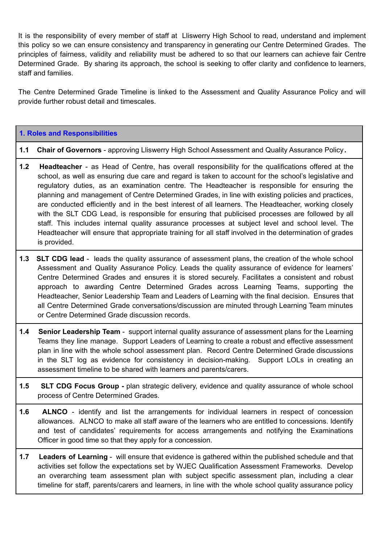It is the responsibility of every member of staff at Lliswerry High School to read, understand and implement this policy so we can ensure consistency and transparency in generating our Centre Determined Grades. The principles of fairness, validity and reliability must be adhered to so that our learners can achieve fair Centre Determined Grade. By sharing its approach, the school is seeking to offer clarity and confidence to learners, staff and families.

The Centre Determined Grade Timeline is linked to the Assessment and Quality Assurance Policy and will provide further robust detail and timescales.

#### **1. Roles and Responsibilities**

#### **1.1 Chair of Governors** - approving Lliswerry High School Assessment and Quality Assurance Policy**.**

- **1.2 Headteacher** as Head of Centre, has overall responsibility for the qualifications offered at the school, as well as ensuring due care and regard is taken to account for the school's legislative and regulatory duties, as an examination centre. The Headteacher is responsible for ensuring the planning and management of Centre Determined Grades, in line with existing policies and practices, are conducted efficiently and in the best interest of all learners. The Headteacher, working closely with the SLT CDG Lead, is responsible for ensuring that publicised processes are followed by all staff. This includes internal quality assurance processes at subject level and school level. The Headteacher will ensure that appropriate training for all staff involved in the determination of grades is provided.
- **1.3 SLT CDG lead** leads the quality assurance of assessment plans, the creation of the whole school Assessment and Quality Assurance Policy. Leads the quality assurance of evidence for learners' Centre Determined Grades and ensures it is stored securely. Facilitates a consistent and robust approach to awarding Centre Determined Grades across Learning Teams, supporting the Headteacher, Senior Leadership Team and Leaders of Learning with the final decision. Ensures that all Centre Determined Grade conversations/discussion are minuted through Learning Team minutes or Centre Determined Grade discussion records.
- **1.4 Senior Leadership Team** support internal quality assurance of assessment plans for the Learning Teams they line manage. Support Leaders of Learning to create a robust and effective assessment plan in line with the whole school assessment plan. Record Centre Determined Grade discussions in the SLT log as evidence for consistency in decision-making. Support LOLs in creating an assessment timeline to be shared with learners and parents/carers.
- **1.5 SLT CDG Focus Group -** plan strategic delivery, evidence and quality assurance of whole school process of Centre Determined Grades.
- **1.6 ALNCO** identify and list the arrangements for individual learners in respect of concession allowances. ALNCO to make all staff aware of the learners who are entitled to concessions. Identify and test of candidates' requirements for access arrangements and notifying the Examinations Officer in good time so that they apply for a concession.
- **1.7 Leaders of Learning** will ensure that evidence is gathered within the published schedule and that activities set follow the expectations set by WJEC Qualification Assessment Frameworks. Develop an overarching team assessment plan with subject specific assessment plan, including a clear timeline for staff, parents/carers and learners, in line with the whole school quality assurance policy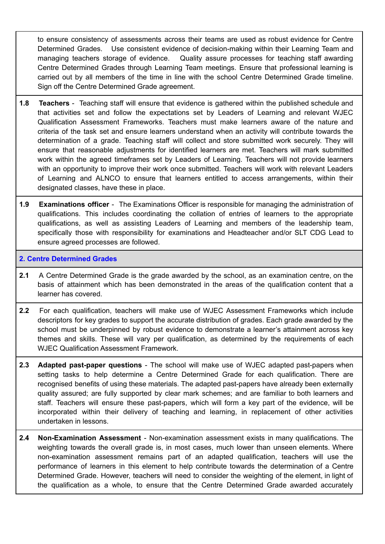to ensure consistency of assessments across their teams are used as robust evidence for Centre Determined Grades. Use consistent evidence of decision-making within their Learning Team and managing teachers storage of evidence. Quality assure processes for teaching staff awarding Centre Determined Grades through Learning Team meetings. Ensure that professional learning is carried out by all members of the time in line with the school Centre Determined Grade timeline. Sign off the Centre Determined Grade agreement.

- **1.8 Teachers** Teaching staff will ensure that evidence is gathered within the published schedule and that activities set and follow the expectations set by Leaders of Learning and relevant WJEC Qualification Assessment Frameworks. Teachers must make learners aware of the nature and criteria of the task set and ensure learners understand when an activity will contribute towards the determination of a grade. Teaching staff will collect and store submitted work securely. They will ensure that reasonable adjustments for identified learners are met. Teachers will mark submitted work within the agreed timeframes set by Leaders of Learning. Teachers will not provide learners with an opportunity to improve their work once submitted. Teachers will work with relevant Leaders of Learning and ALNCO to ensure that learners entitled to access arrangements, within their designated classes, have these in place.
- **1.9 Examinations officer** The Examinations Officer is responsible for managing the administration of qualifications. This includes coordinating the collation of entries of learners to the appropriate qualifications, as well as assisting Leaders of Learning and members of the leadership team, specifically those with responsibility for examinations and Headteacher and/or SLT CDG Lead to ensure agreed processes are followed.

#### **2. Centre Determined Grades**

- **2.1** A Centre Determined Grade is the grade awarded by the school, as an examination centre, on the basis of attainment which has been demonstrated in the areas of the qualification content that a learner has covered.
- **2.2** For each qualification, teachers will make use of WJEC Assessment Frameworks which include descriptors for key grades to support the accurate distribution of grades. Each grade awarded by the school must be underpinned by robust evidence to demonstrate a learner's attainment across key themes and skills. These will vary per qualification, as determined by the requirements of each WJEC Qualification Assessment Framework.
- **2.3 Adapted past-paper questions** The school will make use of WJEC adapted past-papers when setting tasks to help determine a Centre Determined Grade for each qualification. There are recognised benefits of using these materials. The adapted past-papers have already been externally quality assured; are fully supported by clear mark schemes; and are familiar to both learners and staff. Teachers will ensure these past-papers, which will form a key part of the evidence, will be incorporated within their delivery of teaching and learning, in replacement of other activities undertaken in lessons.
- **2.4 Non-Examination Assessment** Non-examination assessment exists in many qualifications. The weighting towards the overall grade is, in most cases, much lower than unseen elements. Where non-examination assessment remains part of an adapted qualification, teachers will use the performance of learners in this element to help contribute towards the determination of a Centre Determined Grade. However, teachers will need to consider the weighting of the element, in light of the qualification as a whole, to ensure that the Centre Determined Grade awarded accurately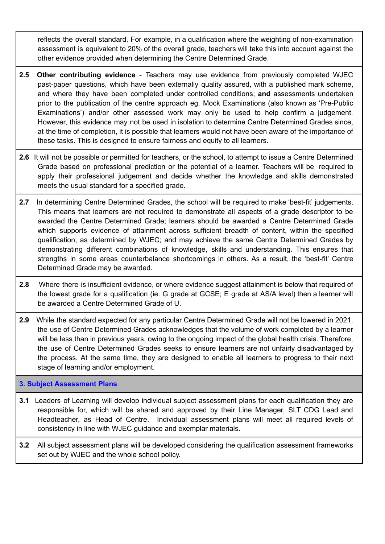reflects the overall standard. For example, in a qualification where the weighting of non-examination assessment is equivalent to 20% of the overall grade, teachers will take this into account against the other evidence provided when determining the Centre Determined Grade.

- **2.5 Other contributing evidence** Teachers may use evidence from previously completed WJEC past-paper questions, which have been externally quality assured, with a published mark scheme, and where they have been completed under controlled conditions; **and** assessments undertaken prior to the publication of the centre approach eg. Mock Examinations (also known as 'Pre-Public Examinations') and/or other assessed work may only be used to help confirm a judgement. However, this evidence may not be used in isolation to determine Centre Determined Grades since, at the time of completion, it is possible that learners would not have been aware of the importance of these tasks. This is designed to ensure fairness and equity to all learners.
- **2.6** It will not be possible or permitted for teachers, or the school, to attempt to issue a Centre Determined Grade based on professional prediction or the potential of a learner. Teachers will be required to apply their professional judgement and decide whether the knowledge and skills demonstrated meets the usual standard for a specified grade.
- 2.7 In determining Centre Determined Grades, the school will be required to make 'best-fit' judgements. This means that learners are not required to demonstrate all aspects of a grade descriptor to be awarded the Centre Determined Grade; learners should be awarded a Centre Determined Grade which supports evidence of attainment across sufficient breadth of content, within the specified qualification, as determined by WJEC; and may achieve the same Centre Determined Grades by demonstrating different combinations of knowledge, skills and understanding. This ensures that strengths in some areas counterbalance shortcomings in others. As a result, the 'best-fit' Centre Determined Grade may be awarded.
- **2.8** Where there is insufficient evidence, or where evidence suggest attainment is below that required of the lowest grade for a qualification (ie. G grade at GCSE; E grade at AS/A level) then a learner will be awarded a Centre Determined Grade of U.
- **2.9** While the standard expected for any particular Centre Determined Grade will not be lowered in 2021, the use of Centre Determined Grades acknowledges that the volume of work completed by a learner will be less than in previous years, owing to the ongoing impact of the global health crisis. Therefore, the use of Centre Determined Grades seeks to ensure learners are not unfairly disadvantaged by the process. At the same time, they are designed to enable all learners to progress to their next stage of learning and/or employment.

## **3. Subject Assessment Plans**

- **3.1** Leaders of Learning will develop individual subject assessment plans for each qualification they are responsible for, which will be shared and approved by their Line Manager, SLT CDG Lead and Headteacher, as Head of Centre. Individual assessment plans will meet all required levels of consistency in line with WJEC guidance and exemplar materials.
- **3.2** All subject assessment plans will be developed considering the qualification assessment frameworks set out by WJEC and the whole school policy.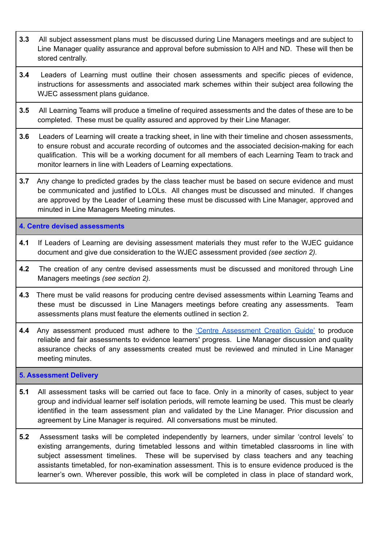- **3.3** All subject assessment plans must be discussed during Line Managers meetings and are subject to Line Manager quality assurance and approval before submission to AIH and ND. These will then be stored centrally.
- **3.4** Leaders of Learning must outline their chosen assessments and specific pieces of evidence, instructions for assessments and associated mark schemes within their subject area following the WJEC assessment plans guidance.
- **3.5** All Learning Teams will produce a timeline of required assessments and the dates of these are to be completed. These must be quality assured and approved by their Line Manager.
- **3.6** Leaders of Learning will create a tracking sheet, in line with their timeline and chosen assessments, to ensure robust and accurate recording of outcomes and the associated decision-making for each qualification. This will be a working document for all members of each Learning Team to track and monitor learners in line with Leaders of Learning expectations.
- **3.7** Any change to predicted grades by the class teacher must be based on secure evidence and must be communicated and justified to LOLs. All changes must be discussed and minuted. If changes are approved by the Leader of Learning these must be discussed with Line Manager, approved and minuted in Line Managers Meeting minutes.

**4. Centre devised assessments**

- **4.1** If Leaders of Learning are devising assessment materials they must refer to the WJEC guidance document and give due consideration to the WJEC assessment provided *(see section 2).*
- **4.2** The creation of any centre devised assessments must be discussed and monitored through Line Managers meetings *(see section 2).*
- **4.3** There must be valid reasons for producing centre devised assessments within Learning Teams and these must be discussed in Line Managers meetings before creating any assessments. Team assessments plans must feature the elements outlined in section 2.
- 4.4 Any assessment produced must adhere to the *Centre [Assessment](https://www.wjecservices.co.uk/sectionlist-2021-home.asp) Creation Guide'* to produce reliable and fair assessments to evidence learners' progress. Line Manager discussion and quality assurance checks of any assessments created must be reviewed and minuted in Line Manager meeting minutes.

#### **5. Assessment Delivery**

- **5.1** All assessment tasks will be carried out face to face. Only in a minority of cases, subject to year group and individual learner self isolation periods, will remote learning be used. This must be clearly identified in the team assessment plan and validated by the Line Manager. Prior discussion and agreement by Line Manager is required. All conversations must be minuted.
- **5.2** Assessment tasks will be completed independently by learners, under similar 'control levels' to existing arrangements, during timetabled lessons and within timetabled classrooms in line with subject assessment timelines. These will be supervised by class teachers and any teaching assistants timetabled, for non-examination assessment. This is to ensure evidence produced is the learner's own. Wherever possible, this work will be completed in class in place of standard work,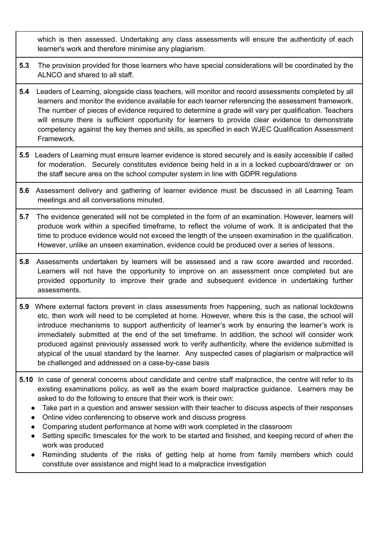which is then assessed. Undertaking any class assessments will ensure the authenticity of each learner's work and therefore minimise any plagiarism.

- **5.3** The provision provided for those learners who have special considerations will be coordinated by the ALNCO and shared to all staff.
- **5.4** Leaders of Learning, alongside class teachers, will monitor and record assessments completed by all learners and monitor the evidence available for each learner referencing the assessment framework. The number of pieces of evidence required to determine a grade will vary per qualification. Teachers will ensure there is sufficient opportunity for learners to provide clear evidence to demonstrate competency against the key themes and skills, as specified in each WJEC Qualification Assessment Framework.
- **5.5** Leaders of Learning must ensure learner evidence is stored securely and is easily accessible if called for moderation. Securely constitutes evidence being held in a in a locked cupboard/drawer or on the staff secure area on the school computer system in line with GDPR regulations
- **5.6** Assessment delivery and gathering of learner evidence must be discussed in all Learning Team meetings and all conversations minuted.
- **5.7** The evidence generated will not be completed in the form of an examination. However, learners will produce work within a specified timeframe, to reflect the volume of work. It is anticipated that the time to produce evidence would not exceed the length of the unseen examination in the qualification. However, unlike an unseen examination, evidence could be produced over a series of lessons.
- **5.8** Assessments undertaken by learners will be assessed and a raw score awarded and recorded. Learners will not have the opportunity to improve on an assessment once completed but are provided opportunity to improve their grade and subsequent evidence in undertaking further assessments.
- **5.9** Where external factors prevent in class assessments from happening, such as national lockdowns etc, then work will need to be completed at home. However, where this is the case, the school will introduce mechanisms to support authenticity of learner's work by ensuring the learner's work is immediately submitted at the end of the set timeframe. In addition, the school will consider work produced against previously assessed work to verify authenticity, where the evidence submitted is atypical of the usual standard by the learner. Any suspected cases of plagiarism or malpractice will be challenged and addressed on a case-by-case basis
- **5.10** In case of general concerns about candidate and centre staff malpractice, the centre will refer to its existing examinations policy, as well as the exam board malpractice guidance. Learners may be asked to do the following to ensure that their work is their own:
	- Take part in a question and answer session with their teacher to discuss aspects of their responses
	- Online video conferencing to observe work and discuss progress
	- Comparing student performance at home with work completed in the classroom
	- Setting specific timescales for the work to be started and finished, and keeping record of when the work was produced
	- Reminding students of the risks of getting help at home from family members which could constitute over assistance and might lead to a malpractice investigation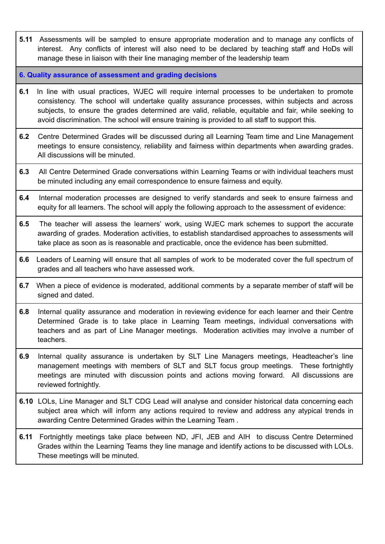- **5.11** Assessments will be sampled to ensure appropriate moderation and to manage any conflicts of interest. Any conflicts of interest will also need to be declared by teaching staff and HoDs will manage these in liaison with their line managing member of the leadership team
- **6. Quality assurance of assessment and grading decisions**
- **6.1** In line with usual practices, WJEC will require internal processes to be undertaken to promote consistency. The school will undertake quality assurance processes, within subjects and across subjects, to ensure the grades determined are valid, reliable, equitable and fair, while seeking to avoid discrimination. The school will ensure training is provided to all staff to support this.
- **6.2** Centre Determined Grades will be discussed during all Learning Team time and Line Management meetings to ensure consistency, reliability and fairness within departments when awarding grades. All discussions will be minuted.
- **6.3** All Centre Determined Grade conversations within Learning Teams or with individual teachers must be minuted including any email correspondence to ensure fairness and equity.
- **6.4** Internal moderation processes are designed to verify standards and seek to ensure fairness and equity for all learners. The school will apply the following approach to the assessment of evidence:
- **6.5** The teacher will assess the learners' work, using WJEC mark schemes to support the accurate awarding of grades. Moderation activities, to establish standardised approaches to assessments will take place as soon as is reasonable and practicable, once the evidence has been submitted.
- **6.6** Leaders of Learning will ensure that all samples of work to be moderated cover the full spectrum of grades and all teachers who have assessed work.
- **6.7** When a piece of evidence is moderated, additional comments by a separate member of staff will be signed and dated.
- **6.8** Internal quality assurance and moderation in reviewing evidence for each learner and their Centre Determined Grade is to take place in Learning Team meetings, individual conversations with teachers and as part of Line Manager meetings. Moderation activities may involve a number of teachers.
- **6.9** Internal quality assurance is undertaken by SLT Line Managers meetings, Headteacher's line management meetings with members of SLT and SLT focus group meetings. These fortnightly meetings are minuted with discussion points and actions moving forward. All discussions are reviewed fortnightly.
- **6.10** LOLs, Line Manager and SLT CDG Lead will analyse and consider historical data concerning each subject area which will inform any actions required to review and address any atypical trends in awarding Centre Determined Grades within the Learning Team .
- **6.11** Fortnightly meetings take place between ND, JFI, JEB and AIH to discuss Centre Determined Grades within the Learning Teams they line manage and identify actions to be discussed with LOLs. These meetings will be minuted.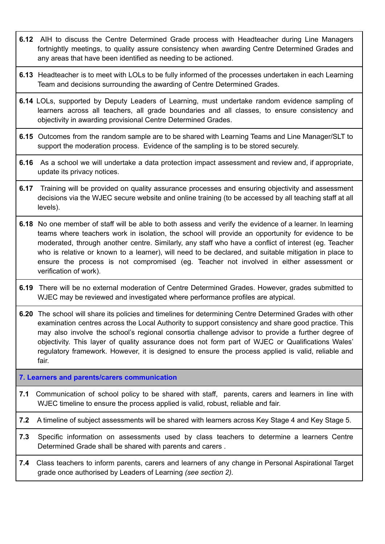- **6.12** AIH to discuss the Centre Determined Grade process with Headteacher during Line Managers fortnightly meetings, to quality assure consistency when awarding Centre Determined Grades and any areas that have been identified as needing to be actioned.
- **6.13** Headteacher is to meet with LOLs to be fully informed of the processes undertaken in each Learning Team and decisions surrounding the awarding of Centre Determined Grades.
- **6.14** LOLs, supported by Deputy Leaders of Learning, must undertake random evidence sampling of learners across all teachers, all grade boundaries and all classes, to ensure consistency and objectivity in awarding provisional Centre Determined Grades.
- **6.15** Outcomes from the random sample are to be shared with Learning Teams and Line Manager/SLT to support the moderation process. Evidence of the sampling is to be stored securely.
- **6.16** As a school we will undertake a data protection impact assessment and review and, if appropriate, update its privacy notices.
- **6.17** Training will be provided on quality assurance processes and ensuring objectivity and assessment decisions via the WJEC secure website and online training (to be accessed by all teaching staff at all levels).
- **6.18** No one member of staff will be able to both assess and verify the evidence of a learner. In learning teams where teachers work in isolation, the school will provide an opportunity for evidence to be moderated, through another centre. Similarly, any staff who have a conflict of interest (eg. Teacher who is relative or known to a learner), will need to be declared, and suitable mitigation in place to ensure the process is not compromised (eg. Teacher not involved in either assessment or verification of work).
- **6.19** There will be no external moderation of Centre Determined Grades. However, grades submitted to WJEC may be reviewed and investigated where performance profiles are atypical.
- **6.20** The school will share its policies and timelines for determining Centre Determined Grades with other examination centres across the Local Authority to support consistency and share good practice. This may also involve the school's regional consortia challenge advisor to provide a further degree of objectivity. This layer of quality assurance does not form part of WJEC or Qualifications Wales' regulatory framework. However, it is designed to ensure the process applied is valid, reliable and fair.

**7. Learners and parents/carers communication**

**7.1** Communication of school policy to be shared with staff, parents, carers and learners in line with WJEC timeline to ensure the process applied is valid, robust, reliable and fair.

**7.2** A timeline of subject assessments will be shared with learners across Key Stage 4 and Key Stage 5.

- **7.3** Specific information on assessments used by class teachers to determine a learners Centre Determined Grade shall be shared with parents and carers .
- **7.4** Class teachers to inform parents, carers and learners of any change in Personal Aspirational Target grade once authorised by Leaders of Learning *(see section 2).*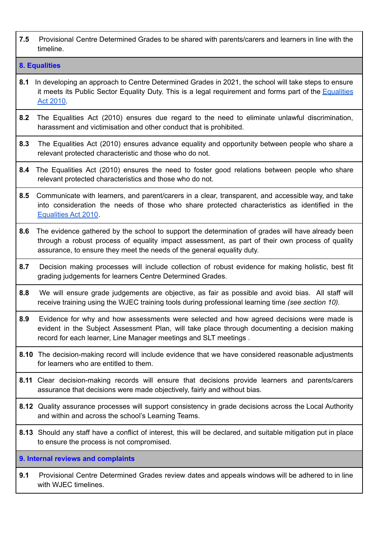**7.5** Provisional Centre Determined Grades to be shared with parents/carers and learners in line with the timeline.

#### **8. Equalities**

- **8.1** In developing an approach to Centre Determined Grades in 2021, the school will take steps to ensure it meets its Public Sector Equality Duty. This is a legal requirement and forms part of the [Equalities](https://www.gov.uk/guidance/equality-act-2010-guidance) Act [2010.](https://www.gov.uk/guidance/equality-act-2010-guidance)
- **8.2** The Equalities Act (2010) ensures due regard to the need to eliminate unlawful discrimination, harassment and victimisation and other conduct that is prohibited.
- **8.3** The Equalities Act (2010) ensures advance equality and opportunity between people who share a relevant protected characteristic and those who do not.
- **8.4** The Equalities Act (2010) ensures the need to foster good relations between people who share relevant protected characteristics and those who do not.
- **8.5** Communicate with learners, and parent/carers in a clear, transparent, and accessible way, and take into consideration the needs of those who share protected characteristics as identified in the [Equalities](https://www.gov.uk/guidance/equality-act-2010-guidance) Act 2010.
- **8.6** The evidence gathered by the school to support the determination of grades will have already been through a robust process of equality impact assessment, as part of their own process of quality assurance, to ensure they meet the needs of the general equality duty.
- **8.7** Decision making processes will include collection of robust evidence for making holistic, best fit grading judgements for learners Centre Determined Grades.
- **8.8** We will ensure grade judgements are objective, as fair as possible and avoid bias. All staff will receive training using the WJEC training tools during professional learning time *(see section 10).*
- **8.9** Evidence for why and how assessments were selected and how agreed decisions were made is evident in the Subject Assessment Plan, will take place through documenting a decision making record for each learner, Line Manager meetings and SLT meetings .
- **8.10** The decision-making record will include evidence that we have considered reasonable adjustments for learners who are entitled to them.
- **8.11** Clear decision-making records will ensure that decisions provide learners and parents/carers assurance that decisions were made objectively, fairly and without bias.
- **8.12** Quality assurance processes will support consistency in grade decisions across the Local Authority and within and across the school's Learning Teams.
- **8.13** Should any staff have a conflict of interest, this will be declared, and suitable mitigation put in place to ensure the process is not compromised.

**9. Internal reviews and complaints**

**9.1** Provisional Centre Determined Grades review dates and appeals windows will be adhered to in line with WJEC timelines.